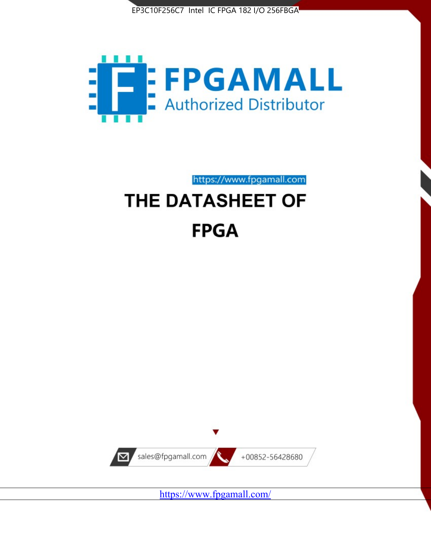



https://www.fpgamall.com

# THE DATASHEET OF **FPGA**



<https://www.fpgamall.com/>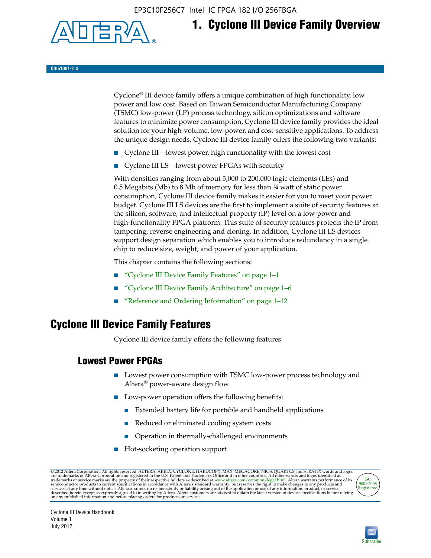EP3C10F256C7 Intel IC FPGA 182 I/O 256FBGA



## **1. Cyclone III Device Family Overview**

#### **CIII51001-2.4**

Cyclone® III device family offers a unique combination of high functionality, low power and low cost. Based on Taiwan Semiconductor Manufacturing Company (TSMC) low-power (LP) process technology, silicon optimizations and software features to minimize power consumption, Cyclone III device family provides the ideal solution for your high-volume, low-power, and cost-sensitive applications. To address the unique design needs, Cyclone III device family offers the following two variants:

- Cyclone III—lowest power, high functionality with the lowest cost
- Cyclone III LS—lowest power FPGAs with security

With densities ranging from about 5,000 to 200,000 logic elements (LEs) and 0.5 Megabits (Mb) to 8 Mb of memory for less than ¼ watt of static power consumption, Cyclone III device family makes it easier for you to meet your power budget. Cyclone III LS devices are the first to implement a suite of security features at the silicon, software, and intellectual property (IP) level on a low-power and high-functionality FPGA platform. This suite of security features protects the IP from tampering, reverse engineering and cloning. In addition, Cyclone III LS devices support design separation which enables you to introduce redundancy in a single chip to reduce size, weight, and power of your application.

This chapter contains the following sections:

- "Cyclone III Device Family Features" on page 1–1
- "Cyclone III Device Family Architecture" on page 1–6
- "Reference and Ordering Information" on page 1–12

### **Cyclone III Device Family Features**

Cyclone III device family offers the following features:

#### **Lowest Power FPGAs**

- Lowest power consumption with TSMC low-power process technology and Altera® power-aware design flow
- Low-power operation offers the following benefits:
	- Extended battery life for portable and handheld applications
	- Reduced or eliminated cooling system costs
	- Operation in thermally-challenged environments
- Hot-socketing operation support

@ 2012 Altera Corporation. All rights reserved. ALTERA, ARRIA, CYCLONE, HARDCOPY, MAX, MEGACORE, NIOS, QUARTUS and STRATIX words and logos are trademarks of Altera Corporation and registered in the U.S. Patent and Trademar



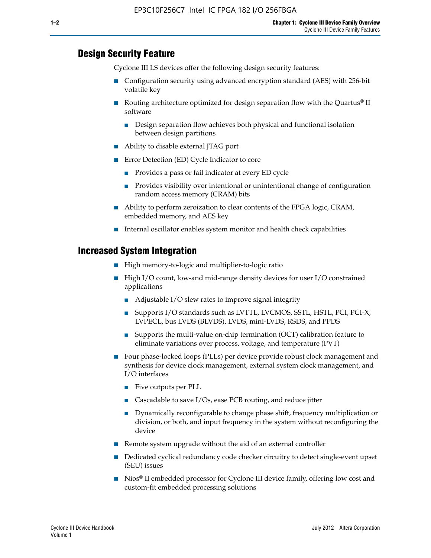#### **Design Security Feature**

Cyclone III LS devices offer the following design security features:

- Configuration security using advanced encryption standard (AES) with 256-bit volatile key
- Routing architecture optimized for design separation flow with the Quartus<sup>®</sup> II software
	- Design separation flow achieves both physical and functional isolation between design partitions
- Ability to disable external JTAG port
- Error Detection (ED) Cycle Indicator to core
	- Provides a pass or fail indicator at every ED cycle
	- Provides visibility over intentional or unintentional change of configuration random access memory (CRAM) bits
- Ability to perform zeroization to clear contents of the FPGA logic, CRAM, embedded memory, and AES key
- Internal oscillator enables system monitor and health check capabilities

#### **Increased System Integration**

- High memory-to-logic and multiplier-to-logic ratio
- High I/O count, low-and mid-range density devices for user I/O constrained applications
	- Adjustable I/O slew rates to improve signal integrity
	- Supports I/O standards such as LVTTL, LVCMOS, SSTL, HSTL, PCI, PCI-X, LVPECL, bus LVDS (BLVDS), LVDS, mini-LVDS, RSDS, and PPDS
	- Supports the multi-value on-chip termination (OCT) calibration feature to eliminate variations over process, voltage, and temperature (PVT)
- Four phase-locked loops (PLLs) per device provide robust clock management and synthesis for device clock management, external system clock management, and I/O interfaces
	- Five outputs per PLL
	- Cascadable to save I/Os, ease PCB routing, and reduce jitter
	- Dynamically reconfigurable to change phase shift, frequency multiplication or division, or both, and input frequency in the system without reconfiguring the device
- Remote system upgrade without the aid of an external controller
- Dedicated cyclical redundancy code checker circuitry to detect single-event upset (SEU) issues
- Nios<sup>®</sup> II embedded processor for Cyclone III device family, offering low cost and custom-fit embedded processing solutions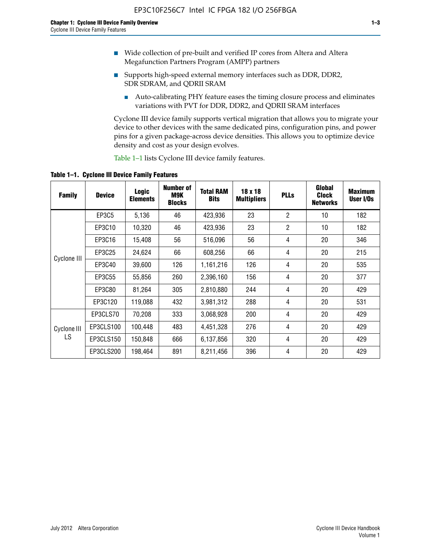- Wide collection of pre-built and verified IP cores from Altera and Altera Megafunction Partners Program (AMPP) partners
- Supports high-speed external memory interfaces such as DDR, DDR2, SDR SDRAM, and QDRII SRAM
	- Auto-calibrating PHY feature eases the timing closure process and eliminates variations with PVT for DDR, DDR2, and QDRII SRAM interfaces

Cyclone III device family supports vertical migration that allows you to migrate your device to other devices with the same dedicated pins, configuration pins, and power pins for a given package-across device densities. This allows you to optimize device density and cost as your design evolves.

Table 1–1 lists Cyclone III device family features.

**Table 1–1. Cyclone III Device Family Features**

| <b>Family</b>     | <b>Device</b> | <b>Logic</b><br><b>Elements</b> | Number of<br>M9K<br><b>Blocks</b> | <b>Total RAM</b><br><b>Bits</b> | 18 x 18<br><b>Multipliers</b> | <b>PLLs</b>    | Global<br><b>Clock</b><br><b>Networks</b> | <b>Maximum</b><br>User I/Os |
|-------------------|---------------|---------------------------------|-----------------------------------|---------------------------------|-------------------------------|----------------|-------------------------------------------|-----------------------------|
|                   | <b>EP3C5</b>  | 5,136                           | 46                                | 423,936                         | 23                            | $\overline{2}$ | 10                                        | 182                         |
|                   | EP3C10        | 10,320                          | 46                                | 423,936                         | 23                            | $\overline{2}$ | 10                                        | 182                         |
|                   | EP3C16        | 15,408                          | 56                                | 516,096                         | 56                            | 4              | 20                                        | 346                         |
| Cyclone III       | EP3C25        | 24,624                          | 66                                | 608,256                         | 66                            | 4              | 20                                        | 215                         |
|                   | EP3C40        | 39,600                          | 126                               | 1,161,216                       | 126                           | 4              | 20                                        | 535                         |
|                   | EP3C55        | 55,856                          | 260                               | 2,396,160                       | 156                           | 4              | 20                                        | 377                         |
|                   | EP3C80        | 81,264                          | 305                               | 2,810,880                       | 244                           | 4              | 20                                        | 429                         |
|                   | EP3C120       | 119,088                         | 432                               | 3,981,312                       | 288                           | 4              | 20                                        | 531                         |
|                   | EP3CLS70      | 70,208                          | 333                               | 3,068,928                       | 200                           | 4              | 20                                        | 429                         |
| Cyclone III<br>LS | EP3CLS100     | 100,448                         | 483                               | 4,451,328                       | 276                           | 4              | 20                                        | 429                         |
|                   | EP3CLS150     | 150,848                         | 666                               | 6,137,856                       | 320                           | 4              | 20                                        | 429                         |
|                   | EP3CLS200     | 198,464                         | 891                               | 8,211,456                       | 396                           | 4              | 20                                        | 429                         |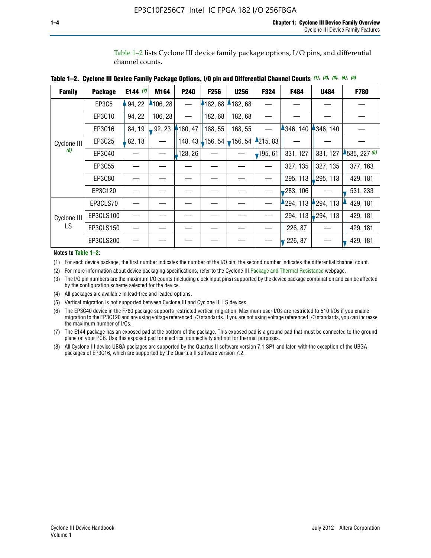Table 1–2 lists Cyclone III device family package options, I/O pins, and differential channel counts.

| <b>Family</b> | <b>Package</b> | E144 $(7)$ | M164     | <b>P240</b> | F256    | <b>U256</b>           | F324       | F484     | <b>U484</b>            | F780           |
|---------------|----------------|------------|----------|-------------|---------|-----------------------|------------|----------|------------------------|----------------|
|               | EP3C5          | 94, 22     | 4106, 28 |             | 4182,68 | 182, 68               |            |          |                        |                |
|               | EP3C10         | 94, 22     | 106, 28  |             | 182, 68 | 182, 68               |            |          |                        |                |
|               | EP3C16         | 84, 19     | 92, 23   | 160, 47     | 168, 55 | 168, 55               |            | 346, 140 | 4346, 140              |                |
| Cyclone III   | EP3C25         | 82, 18     |          | 148, 43     | 156, 54 | $\frac{1}{2}$ 156, 54 | 4215, 83   |          |                        |                |
| (8)           | EP3C40         |            |          | ,128, 26    |         |                       | $-195, 61$ | 331, 127 | 331, 127               | $-535, 227(6)$ |
|               | EP3C55         |            |          |             |         |                       |            | 327, 135 | 327, 135               | 377, 163       |
|               | EP3C80         |            |          |             |         |                       |            | 295, 113 | 295, 113               | 429, 181       |
|               | EP3C120        |            |          |             |         |                       |            | 283, 106 |                        | 531, 233       |
|               | EP3CLS70       |            |          |             |         |                       |            | 294, 113 | 294, 113               | 429, 181       |
| Cyclone III   | EP3CLS100      |            |          |             |         |                       |            | 294, 113 | $\frac{1}{2}$ 294, 113 | 429, 181       |
| LS.           | EP3CLS150      |            |          |             |         |                       |            | 226, 87  |                        | 429, 181       |
|               | EP3CLS200      |            |          |             |         |                       |            | 226, 87  |                        | 429, 181       |

**Table 1–2. Cyclone III Device Family Package Options, I/O pin and Differential Channel Counts** *(1)***,** *(2)***,** *(3)***,** *(4)***,** *(5)*

**Notes to Table 1–2:**

(1) For each device package, the first number indicates the number of the I/O pin; the second number indicates the differential channel count.

(2) For more information about device packaging specifications, refer to the Cyclone III [Package and Thermal Resistance](http://www.altera.com/support/devices/packaging/specifications/pkg-pin/dev-package-listing.jsp?device=Cyclone_III) webpage.

(3) The I/O pin numbers are the maximum I/O counts (including clock input pins) supported by the device package combination and can be affected by the configuration scheme selected for the device.

(4) All packages are available in lead-free and leaded options.

(5) Vertical migration is not supported between Cyclone III and Cyclone III LS devices.

(6) The EP3C40 device in the F780 package supports restricted vertical migration. Maximum user I/Os are restricted to 510 I/Os if you enable migration to the EP3C120 and are using voltage referenced I/O standards. If you are not using voltage referenced I/O standards, you can increase the maximum number of I/Os.

(7) The E144 package has an exposed pad at the bottom of the package. This exposed pad is a ground pad that must be connected to the ground plane on your PCB. Use this exposed pad for electrical connectivity and not for thermal purposes.

(8) All Cyclone III device UBGA packages are supported by the Quartus II software version 7.1 SP1 and later, with the exception of the UBGA packages of EP3C16, which are supported by the Quartus II software version 7.2.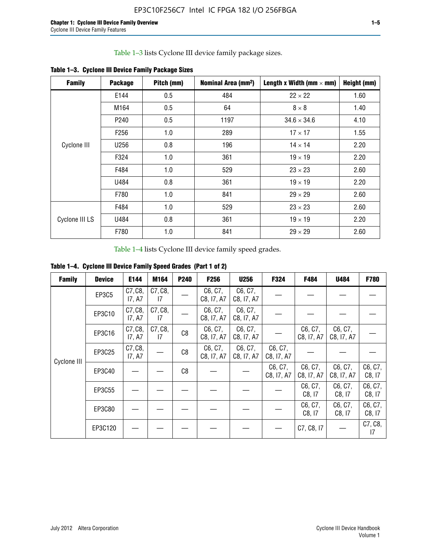Table 1–3 lists Cyclone III device family package sizes.

| <b>Family</b>  | <b>Package</b>   | Pitch (mm) | Nominal Area (mm <sup>2</sup> ) | Length x Width (mm $\times$ mm) | Height (mm) |
|----------------|------------------|------------|---------------------------------|---------------------------------|-------------|
|                | E144             | 0.5        | 484                             | $22 \times 22$                  | 1.60        |
|                | M164             | 0.5        | 64                              | $8 \times 8$                    | 1.40        |
|                | P <sub>240</sub> | 0.5        | 1197                            | $34.6 \times 34.6$              | 4.10        |
|                | F <sub>256</sub> | 1.0        | 289                             | $17 \times 17$                  | 1.55        |
| Cyclone III    | U256             | 0.8        | 196                             | $14 \times 14$                  | 2.20        |
|                | F324             | 1.0        | 361                             | $19 \times 19$                  | 2.20        |
|                | F484             | 1.0        | 529                             | $23 \times 23$                  | 2.60        |
|                | U484             | 0.8        | 361                             | $19 \times 19$                  | 2.20        |
|                | F780             | 1.0        | 841                             | $29 \times 29$                  | 2.60        |
|                | F484             | 1.0        | 529                             | $23 \times 23$                  | 2.60        |
| Cyclone III LS | U484             | 0.8        | 361                             | $19 \times 19$                  | 2.20        |
|                | F780             | 1.0        | 841                             | $29 \times 29$                  | 2.60        |

**Table 1–3. Cyclone III Device Family Package Sizes**

Table 1–4 lists Cyclone III device family speed grades.

**Table 1–4. Cyclone III Device Family Speed Grades (Part 1 of 2)**

| <b>Family</b> | <b>Device</b> | E144              | M164          | <b>P240</b> | <b>F256</b>           | <b>U256</b>           | F324                  | F484                  | U484                  | <b>F780</b>       |
|---------------|---------------|-------------------|---------------|-------------|-----------------------|-----------------------|-----------------------|-----------------------|-----------------------|-------------------|
|               | EP3C5         | C7, C8,<br>17, A7 | C7, C8,<br>17 |             | C6, C7,<br>C8, I7, A7 | C6, C7,<br>C8, I7, A7 |                       |                       |                       |                   |
|               | EP3C10        | C7, C8,<br>17, A7 | C7, C8,<br>17 |             | C6, C7,<br>C8, I7, A7 | C6, C7,<br>C8, I7, A7 |                       |                       |                       |                   |
|               | EP3C16        | C7, C8,<br>17, A7 | C7, C8,<br>17 | C8          | C6, C7,<br>C8, I7, A7 | C6, C7,<br>C8, I7, A7 |                       | C6, C7,<br>C8, I7, A7 | C6, C7,<br>C8, I7, A7 |                   |
| Cyclone III   | EP3C25        | C7, C8,<br>17, A7 |               | C8          | C6, C7,<br>C8, I7, A7 | C6, C7,<br>C8, I7, A7 | C6, C7,<br>C8, I7, A7 |                       |                       |                   |
|               | EP3C40        |                   |               | C8          |                       |                       | C6, C7,<br>C8, I7, A7 | C6, C7,<br>C8, I7, A7 | C6, C7,<br>C8, I7, A7 | C6, C7,<br>C8, 17 |
|               | EP3C55        |                   |               |             |                       |                       |                       | C6, C7,<br>C8, 17     | C6, C7,<br>C8, 17     | C6, C7,<br>C8, 17 |
|               | EP3C80        |                   |               |             |                       |                       |                       | C6, C7,<br>C8, 17     | C6, C7,<br>C8, 17     | C6, C7,<br>C8, 17 |
|               | EP3C120       |                   |               |             |                       |                       |                       | C7, C8, I7            |                       | C7, C8,<br>17     |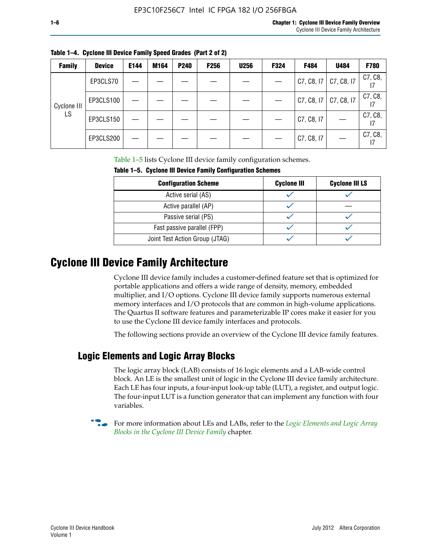| i<br>v |
|--------|
|--------|

| <b>Family</b> | <b>Device</b> | E144 | M164 | <b>P240</b> | <b>F256</b> | <b>U256</b> | F324 | F484       | U484       | F780    |
|---------------|---------------|------|------|-------------|-------------|-------------|------|------------|------------|---------|
|               | EP3CLS70      |      |      |             |             |             |      | C7, C8, I7 | C7, C8, I7 | C7, C8, |
| Cyclone III   | EP3CLS100     |      |      |             |             |             |      | C7, C8, I7 | C7, C8, I7 | C7, C8, |
| LS            | EP3CLS150     |      |      |             |             |             |      | C7, C8, I7 |            | C7, C8, |
|               | EP3CLS200     |      |      |             |             |             |      | C7, C8, I7 |            | C7, C8, |

**Table 1–4. Cyclone III Device Family Speed Grades (Part 2 of 2)**

Table 1–5 lists Cyclone III device family configuration schemes.

| <b>IQUIE 1-3. CYCLUILE III DEVICE FAILIIV CUILILUILATION SCIIENIES</b> |                    |                       |  |  |
|------------------------------------------------------------------------|--------------------|-----------------------|--|--|
| <b>Configuration Scheme</b>                                            | <b>Cyclone III</b> | <b>Cyclone III LS</b> |  |  |
| Active serial (AS)                                                     |                    |                       |  |  |
| Active parallel (AP)                                                   |                    |                       |  |  |
| Passive serial (PS)                                                    |                    |                       |  |  |
| Fast passive parallel (FPP)                                            |                    |                       |  |  |
| Joint Test Action Group (JTAG)                                         |                    |                       |  |  |

**Table 1–5. Cyclone III Device Family Configuration Schemes**

## **Cyclone III Device Family Architecture**

Cyclone III device family includes a customer-defined feature set that is optimized for portable applications and offers a wide range of density, memory, embedded multiplier, and I/O options. Cyclone III device family supports numerous external memory interfaces and I/O protocols that are common in high-volume applications. The Quartus II software features and parameterizable IP cores make it easier for you to use the Cyclone III device family interfaces and protocols.

The following sections provide an overview of the Cyclone III device family features.

#### **Logic Elements and Logic Array Blocks**

The logic array block (LAB) consists of 16 logic elements and a LAB-wide control block. An LE is the smallest unit of logic in the Cyclone III device family architecture. Each LE has four inputs, a four-input look-up table (LUT), a register, and output logic. The four-input LUT is a function generator that can implement any function with four variables.

f For more information about LEs and LABs, refer to the *[Logic Elements and Logic Array](http://www.altera.com/literature/hb/cyc3/cyc3_ciii51002.pdf)  [Blocks in the Cyclone III Device Family](http://www.altera.com/literature/hb/cyc3/cyc3_ciii51002.pdf)* chapter.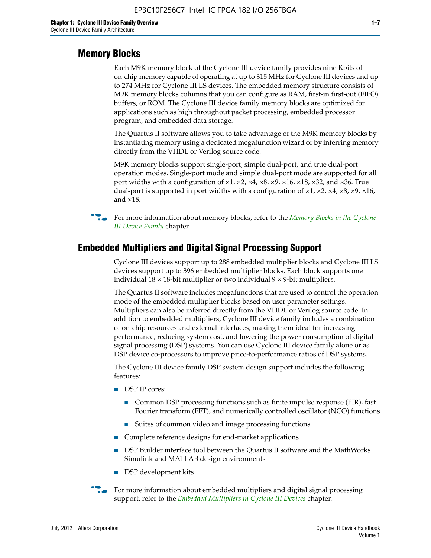#### **Memory Blocks**

Each M9K memory block of the Cyclone III device family provides nine Kbits of on-chip memory capable of operating at up to 315 MHz for Cyclone III devices and up to 274 MHz for Cyclone III LS devices. The embedded memory structure consists of M9K memory blocks columns that you can configure as RAM, first-in first-out (FIFO) buffers, or ROM. The Cyclone III device family memory blocks are optimized for applications such as high throughout packet processing, embedded processor program, and embedded data storage.

The Quartus II software allows you to take advantage of the M9K memory blocks by instantiating memory using a dedicated megafunction wizard or by inferring memory directly from the VHDL or Verilog source code.

M9K memory blocks support single-port, simple dual-port, and true dual-port operation modes. Single-port mode and simple dual-port mode are supported for all port widths with a configuration of  $\times1$ ,  $\times2$ ,  $\times4$ ,  $\times8$ ,  $\times9$ ,  $\times16$ ,  $\times18$ ,  $\times32$ , and  $\times36$ . True dual-port is supported in port widths with a configuration of  $\times$ 1,  $\times$ 2,  $\times$ 4,  $\times$ 8,  $\times$ 9,  $\times$ 16, and ×18.



**For more information about memory blocks, refer to the** *Memory Blocks in the Cyclone [III Device Family](http://www.altera.com/literature/hb/cyc3/cyc3_ciii51004.pdf)* chapter.

#### **Embedded Multipliers and Digital Signal Processing Support**

Cyclone III devices support up to 288 embedded multiplier blocks and Cyclone III LS devices support up to 396 embedded multiplier blocks. Each block supports one individual  $18 \times 18$ -bit multiplier or two individual  $9 \times 9$ -bit multipliers.

The Quartus II software includes megafunctions that are used to control the operation mode of the embedded multiplier blocks based on user parameter settings. Multipliers can also be inferred directly from the VHDL or Verilog source code. In addition to embedded multipliers, Cyclone III device family includes a combination of on-chip resources and external interfaces, making them ideal for increasing performance, reducing system cost, and lowering the power consumption of digital signal processing (DSP) systems. You can use Cyclone III device family alone or as DSP device co-processors to improve price-to-performance ratios of DSP systems.

The Cyclone III device family DSP system design support includes the following features:

- DSP IP cores:
	- Common DSP processing functions such as finite impulse response (FIR), fast Fourier transform (FFT), and numerically controlled oscillator (NCO) functions
	- Suites of common video and image processing functions
- Complete reference designs for end-market applications
- DSP Builder interface tool between the Quartus II software and the MathWorks Simulink and MATLAB design environments
- DSP development kits
- For more information about embedded multipliers and digital signal processing support, refer to the *[Embedded Multipliers in Cyclone III Devices](http://www.altera.com/literature/hb/cyc3/cyc3_ciii51005.pdf)* chapter.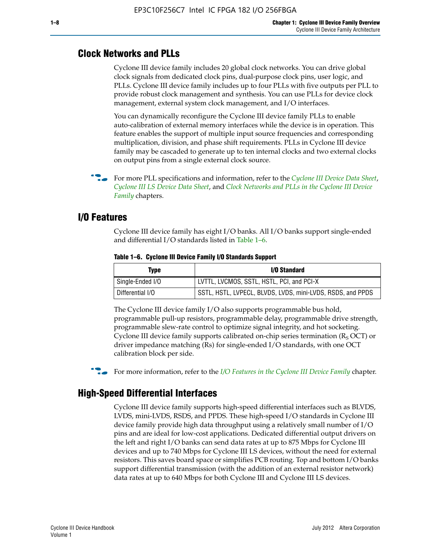#### **Clock Networks and PLLs**

Cyclone III device family includes 20 global clock networks. You can drive global clock signals from dedicated clock pins, dual-purpose clock pins, user logic, and PLLs. Cyclone III device family includes up to four PLLs with five outputs per PLL to provide robust clock management and synthesis. You can use PLLs for device clock management, external system clock management, and I/O interfaces.

You can dynamically reconfigure the Cyclone III device family PLLs to enable auto-calibration of external memory interfaces while the device is in operation. This feature enables the support of multiple input source frequencies and corresponding multiplication, division, and phase shift requirements. PLLs in Cyclone III device family may be cascaded to generate up to ten internal clocks and two external clocks on output pins from a single external clock source.

**For more PLL specifications and information, refer to the** *[Cyclone III Device Data Sheet](http://www.altera.com/literature/hb/cyc3/cyc3_ciii52001.pdf)***,** *[Cyclone III LS Device Data Sheet](http://www.altera.com/literature/hb/cyc3/cyc3_ciii52002.pdf)*, and *[Clock Networks and PLLs in the Cyclone III Device](http://www.altera.com/literature/hb/cyc3/cyc3_ciii51006.pdf)  [Family](http://www.altera.com/literature/hb/cyc3/cyc3_ciii51006.pdf)* chapters.

#### **I/O Features**

Cyclone III device family has eight I/O banks. All I/O banks support single-ended and differential I/O standards listed in Table 1–6.

| Type             | <b>I/O Standard</b>                                        |
|------------------|------------------------------------------------------------|
| Single-Ended I/O | LVTTL, LVCMOS, SSTL, HSTL, PCI, and PCI-X                  |
| Differential I/O | SSTL, HSTL, LVPECL, BLVDS, LVDS, mini-LVDS, RSDS, and PPDS |

**Table 1–6. Cyclone III Device Family I/O Standards Support** 

The Cyclone III device family I/O also supports programmable bus hold, programmable pull-up resistors, programmable delay, programmable drive strength, programmable slew-rate control to optimize signal integrity, and hot socketing. Cyclone III device family supports calibrated on-chip series termination ( $R_S$  OCT) or driver impedance matching (Rs) for single-ended I/O standards, with one OCT calibration block per side.

For more information, refer to the *[I/O Features in the Cyclone III Device Family](http://www.altera.com/literature/hb/cyc3/cyc3_ciii51007.pdf)* chapter.

#### **High-Speed Differential Interfaces**

Cyclone III device family supports high-speed differential interfaces such as BLVDS, LVDS, mini-LVDS, RSDS, and PPDS. These high-speed I/O standards in Cyclone III device family provide high data throughput using a relatively small number of I/O pins and are ideal for low-cost applications. Dedicated differential output drivers on the left and right I/O banks can send data rates at up to 875 Mbps for Cyclone III devices and up to 740 Mbps for Cyclone III LS devices, without the need for external resistors. This saves board space or simplifies PCB routing. Top and bottom I/O banks support differential transmission (with the addition of an external resistor network) data rates at up to 640 Mbps for both Cyclone III and Cyclone III LS devices.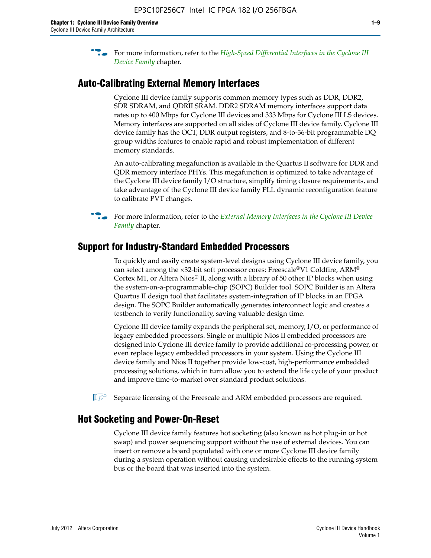**For more information, refer to the** *High-Speed Differential Interfaces in the Cyclone III* $\overline{a}$ *[Device Family](http://www.altera.com/literature/hb/cyc3/cyc3_ciii51008.pdf)* chapter.

#### **Auto-Calibrating External Memory Interfaces**

Cyclone III device family supports common memory types such as DDR, DDR2, SDR SDRAM, and QDRII SRAM. DDR2 SDRAM memory interfaces support data rates up to 400 Mbps for Cyclone III devices and 333 Mbps for Cyclone III LS devices. Memory interfaces are supported on all sides of Cyclone III device family. Cyclone III device family has the OCT, DDR output registers, and 8-to-36-bit programmable DQ group widths features to enable rapid and robust implementation of different memory standards.

An auto-calibrating megafunction is available in the Quartus II software for DDR and QDR memory interface PHYs. This megafunction is optimized to take advantage of the Cyclone III device family I/O structure, simplify timing closure requirements, and take advantage of the Cyclone III device family PLL dynamic reconfiguration feature to calibrate PVT changes.

**For more information, refer to the** *External Memory Interfaces in the Cyclone III Device [Family](http://www.altera.com/literature/hb/cyc3/cyc3_ciii51009.pdf)* chapter.

#### **Support for Industry-Standard Embedded Processors**

To quickly and easily create system-level designs using Cyclone III device family, you can select among the ×32-bit soft processor cores: Freescale®V1 Coldfire, ARM® Cortex M1, or Altera Nios® II, along with a library of 50 other IP blocks when using the system-on-a-programmable-chip (SOPC) Builder tool. SOPC Builder is an Altera Quartus II design tool that facilitates system-integration of IP blocks in an FPGA design. The SOPC Builder automatically generates interconnect logic and creates a testbench to verify functionality, saving valuable design time.

Cyclone III device family expands the peripheral set, memory, I/O, or performance of legacy embedded processors. Single or multiple Nios II embedded processors are designed into Cyclone III device family to provide additional co-processing power, or even replace legacy embedded processors in your system. Using the Cyclone III device family and Nios II together provide low-cost, high-performance embedded processing solutions, which in turn allow you to extend the life cycle of your product and improve time-to-market over standard product solutions.

 $\mathbb{I}$  Separate licensing of the Freescale and ARM embedded processors are required.

#### **Hot Socketing and Power-On-Reset**

Cyclone III device family features hot socketing (also known as hot plug-in or hot swap) and power sequencing support without the use of external devices. You can insert or remove a board populated with one or more Cyclone III device family during a system operation without causing undesirable effects to the running system bus or the board that was inserted into the system.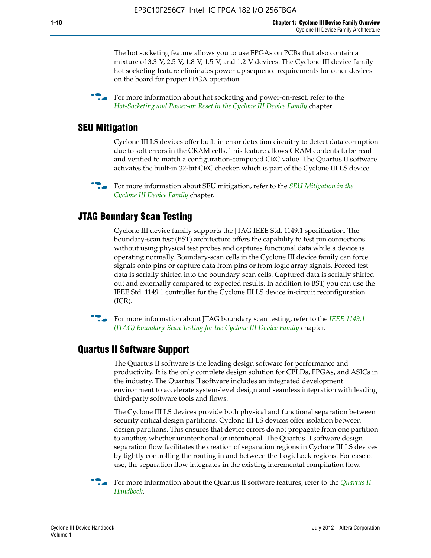The hot socketing feature allows you to use FPGAs on PCBs that also contain a mixture of 3.3-V, 2.5-V, 1.8-V, 1.5-V, and 1.2-V devices. The Cyclone III device family hot socketing feature eliminates power-up sequence requirements for other devices on the board for proper FPGA operation.

For more information about hot socketing and power-on-reset, refer to the *[Hot-Socketing and Power-on Reset in the Cyclone III Device Family](http://www.altera.com/literature/hb/cyc3/cyc3_ciii51011.pdf)* chapter.

#### **SEU Mitigation**

Cyclone III LS devices offer built-in error detection circuitry to detect data corruption due to soft errors in the CRAM cells. This feature allows CRAM contents to be read and verified to match a configuration-computed CRC value. The Quartus II software activates the built-in 32-bit CRC checker, which is part of the Cyclone III LS device.

**For more information about SEU mitigation, refer to the** *SEU Mitigation in the [Cyclone III Device Family](http://www.altera.com/literature/hb/cyc3/cyc3_ciii51013.pdf)* chapter.

#### **JTAG Boundary Scan Testing**

Cyclone III device family supports the JTAG IEEE Std. 1149.1 specification. The boundary-scan test (BST) architecture offers the capability to test pin connections without using physical test probes and captures functional data while a device is operating normally. Boundary-scan cells in the Cyclone III device family can force signals onto pins or capture data from pins or from logic array signals. Forced test data is serially shifted into the boundary-scan cells. Captured data is serially shifted out and externally compared to expected results. In addition to BST, you can use the IEEE Std. 1149.1 controller for the Cyclone III LS device in-circuit reconfiguration (ICR).

**f f**or more information about JTAG boundary scan testing, refer to the *IEEE* 1149.1 *[\(JTAG\) Boundary-Scan Testing for the Cyclone III Device Family](http://www.altera.com/literature/hb/cyc3/cyc3_ciii51014.pdf)* chapter.

#### **Quartus II Software Support**

The Quartus II software is the leading design software for performance and productivity. It is the only complete design solution for CPLDs, FPGAs, and ASICs in the industry. The Quartus II software includes an integrated development environment to accelerate system-level design and seamless integration with leading third-party software tools and flows.

The Cyclone III LS devices provide both physical and functional separation between security critical design partitions. Cyclone III LS devices offer isolation between design partitions. This ensures that device errors do not propagate from one partition to another, whether unintentional or intentional. The Quartus II software design separation flow facilitates the creation of separation regions in Cyclone III LS devices by tightly controlling the routing in and between the LogicLock regions. For ease of use, the separation flow integrates in the existing incremental compilation flow.

f For more information about the Quartus II software features, refer to the *[Quartus II](http://www.altera.com/literature/hb/qts/quartusii_handbook.pdf)  [Handbook](http://www.altera.com/literature/hb/qts/quartusii_handbook.pdf)*.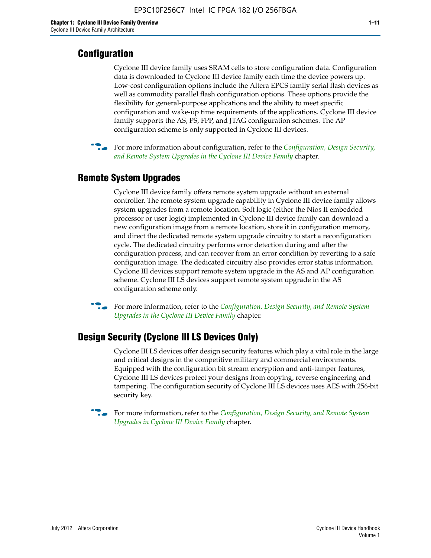#### **Configuration**

Cyclone III device family uses SRAM cells to store configuration data. Configuration data is downloaded to Cyclone III device family each time the device powers up. Low-cost configuration options include the Altera EPCS family serial flash devices as well as commodity parallel flash configuration options. These options provide the flexibility for general-purpose applications and the ability to meet specific configuration and wake-up time requirements of the applications. Cyclone III device family supports the AS, PS, FPP, and JTAG configuration schemes. The AP configuration scheme is only supported in Cyclone III devices.



f For more information about configuration, refer to the *[Configuration, Design Security,](http://www.altera.com/literature/hb/cyc3/cyc3_ciii51016.pdf)  [and Remote System Upgrades in the Cyclone III Device Family](http://www.altera.com/literature/hb/cyc3/cyc3_ciii51016.pdf)* chapter.

#### **Remote System Upgrades**

Cyclone III device family offers remote system upgrade without an external controller. The remote system upgrade capability in Cyclone III device family allows system upgrades from a remote location. Soft logic (either the Nios II embedded processor or user logic) implemented in Cyclone III device family can download a new configuration image from a remote location, store it in configuration memory, and direct the dedicated remote system upgrade circuitry to start a reconfiguration cycle. The dedicated circuitry performs error detection during and after the configuration process, and can recover from an error condition by reverting to a safe configuration image. The dedicated circuitry also provides error status information. Cyclone III devices support remote system upgrade in the AS and AP configuration scheme. Cyclone III LS devices support remote system upgrade in the AS configuration scheme only.

**For more information, refer to the** *Configuration, Design Security, and Remote System [Upgrades in the Cyclone III Device Family](http://www.altera.com/literature/hb/cyc3/cyc3_ciii51016.pdf)* chapter.

#### **Design Security (Cyclone III LS Devices Only)**

Cyclone III LS devices offer design security features which play a vital role in the large and critical designs in the competitive military and commercial environments. Equipped with the configuration bit stream encryption and anti-tamper features, Cyclone III LS devices protect your designs from copying, reverse engineering and tampering. The configuration security of Cyclone III LS devices uses AES with 256-bit security key.

f For more information, refer to the *[Configuration, Design Security, and Remote System](http://www.altera.com/literature/hb/cyc3/cyc3_ciii51016.pdf)  [Upgrades in Cyclone III Device Family](http://www.altera.com/literature/hb/cyc3/cyc3_ciii51016.pdf)* chapter.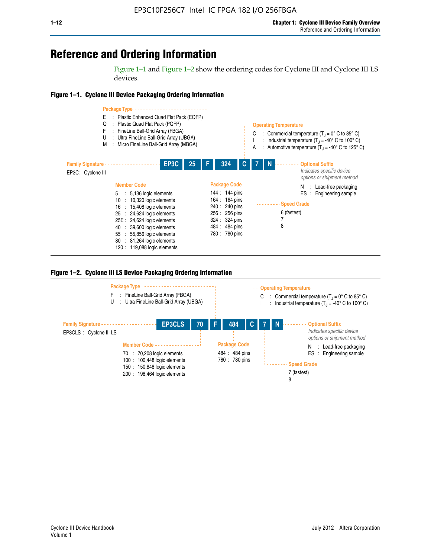## **Reference and Ordering Information**

Figure 1–1 and Figure 1–2 show the ordering codes for Cyclone III and Cyclone III LS devices.







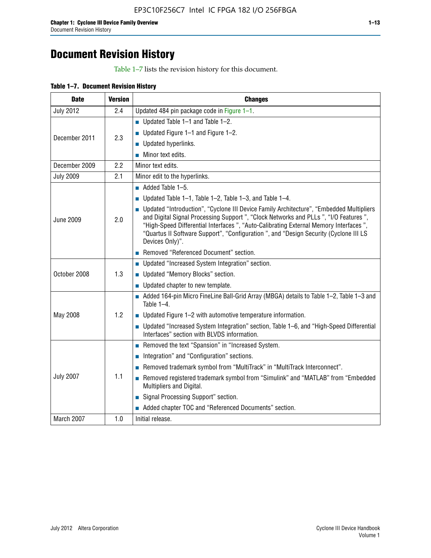## **Document Revision History**

Table 1–7 lists the revision history for this document.

| Table 1-7. Document Revision History |  |  |  |  |
|--------------------------------------|--|--|--|--|
|--------------------------------------|--|--|--|--|

| <b>Date</b>      | <b>Version</b> | <b>Changes</b>                                                                                                                                                                                                                                                                                                                                                                          |
|------------------|----------------|-----------------------------------------------------------------------------------------------------------------------------------------------------------------------------------------------------------------------------------------------------------------------------------------------------------------------------------------------------------------------------------------|
| <b>July 2012</b> | 2.4            | Updated 484 pin package code in Figure 1-1.                                                                                                                                                                                                                                                                                                                                             |
|                  |                | Updated Table $1-1$ and Table $1-2$ .                                                                                                                                                                                                                                                                                                                                                   |
| December 2011    | 2.3            | ■ Updated Figure $1-1$ and Figure $1-2$ .                                                                                                                                                                                                                                                                                                                                               |
|                  |                | Updated hyperlinks.                                                                                                                                                                                                                                                                                                                                                                     |
|                  |                | Minor text edits.                                                                                                                                                                                                                                                                                                                                                                       |
| December 2009    | 2.2            | Minor text edits.                                                                                                                                                                                                                                                                                                                                                                       |
| <b>July 2009</b> | 2.1            | Minor edit to the hyperlinks.                                                                                                                                                                                                                                                                                                                                                           |
|                  |                | $\blacksquare$ Added Table 1-5.                                                                                                                                                                                                                                                                                                                                                         |
|                  |                | ■ Updated Table 1–1, Table 1–2, Table 1–3, and Table 1–4.                                                                                                                                                                                                                                                                                                                               |
| <b>June 2009</b> | 2.0            | • Updated "Introduction", "Cyclone III Device Family Architecture", "Embedded Multipliers<br>and Digital Signal Processing Support ", "Clock Networks and PLLs ", "I/O Features ",<br>"High-Speed Differential Interfaces ", "Auto-Calibrating External Memory Interfaces",<br>"Quartus II Software Support", "Configuration ", and "Design Security (Cyclone III LS<br>Devices Only)". |
|                  |                | Removed "Referenced Document" section.                                                                                                                                                                                                                                                                                                                                                  |
|                  |                | • Updated "Increased System Integration" section.                                                                                                                                                                                                                                                                                                                                       |
| October 2008     | 1.3            | Updated "Memory Blocks" section.                                                                                                                                                                                                                                                                                                                                                        |
|                  |                | • Updated chapter to new template.                                                                                                                                                                                                                                                                                                                                                      |
|                  |                | Added 164-pin Micro FineLine Ball-Grid Array (MBGA) details to Table 1-2, Table 1-3 and<br>Table $1-4$ .                                                                                                                                                                                                                                                                                |
| May 2008         | 1.2            | $\blacksquare$ Updated Figure 1-2 with automotive temperature information.                                                                                                                                                                                                                                                                                                              |
|                  |                | • Updated "Increased System Integration" section, Table 1-6, and "High-Speed Differential<br>Interfaces" section with BLVDS information.                                                                                                                                                                                                                                                |
|                  |                | Removed the text "Spansion" in "Increased System.                                                                                                                                                                                                                                                                                                                                       |
|                  |                | Integration" and "Configuration" sections.                                                                                                                                                                                                                                                                                                                                              |
|                  |                | Removed trademark symbol from "MultiTrack" in "MultiTrack Interconnect".                                                                                                                                                                                                                                                                                                                |
| <b>July 2007</b> | 1.1            | Removed registered trademark symbol from "Simulink" and "MATLAB" from "Embedded<br>Multipliers and Digital.                                                                                                                                                                                                                                                                             |
|                  |                | Signal Processing Support" section.                                                                                                                                                                                                                                                                                                                                                     |
|                  |                | Added chapter TOC and "Referenced Documents" section.                                                                                                                                                                                                                                                                                                                                   |
| March 2007       | 1.0            | Initial release.                                                                                                                                                                                                                                                                                                                                                                        |